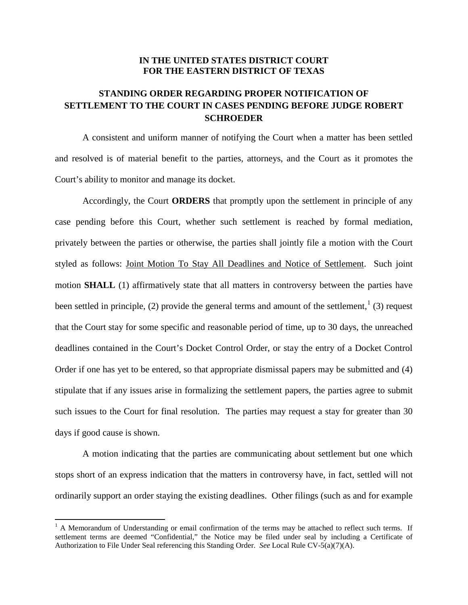## **IN THE UNITED STATES DISTRICT COURT FOR THE EASTERN DISTRICT OF TEXAS**

## **STANDING ORDER REGARDING PROPER NOTIFICATION OF SETTLEMENT TO THE COURT IN CASES PENDING BEFORE JUDGE ROBERT SCHROEDER**

A consistent and uniform manner of notifying the Court when a matter has been settled and resolved is of material benefit to the parties, attorneys, and the Court as it promotes the Court's ability to monitor and manage its docket.

Accordingly, the Court **ORDERS** that promptly upon the settlement in principle of any case pending before this Court, whether such settlement is reached by formal mediation, privately between the parties or otherwise, the parties shall jointly file a motion with the Court styled as follows: Joint Motion To Stay All Deadlines and Notice of Settlement. Such joint motion **SHALL** (1) affirmatively state that all matters in controversy between the parties have been settled in principle, (2) provide the general terms and amount of the settlement,  $(3)$  request that the Court stay for some specific and reasonable period of time, up to 30 days, the unreached deadlines contained in the Court's Docket Control Order, or stay the entry of a Docket Control Order if one has yet to be entered, so that appropriate dismissal papers may be submitted and (4) stipulate that if any issues arise in formalizing the settlement papers, the parties agree to submit such issues to the Court for final resolution. The parties may request a stay for greater than 30 days if good cause is shown.

A motion indicating that the parties are communicating about settlement but one which stops short of an express indication that the matters in controversy have, in fact, settled will not ordinarily support an order staying the existing deadlines. Other filings (such as and for example

 $<sup>1</sup>$  A Memorandum of Understanding or email confirmation of the terms may be attached to reflect such terms. If</sup> settlement terms are deemed "Confidential," the Notice may be filed under seal by including a Certificate of Authorization to File Under Seal referencing this Standing Order. *See* Local Rule CV-5(a)(7)(A).